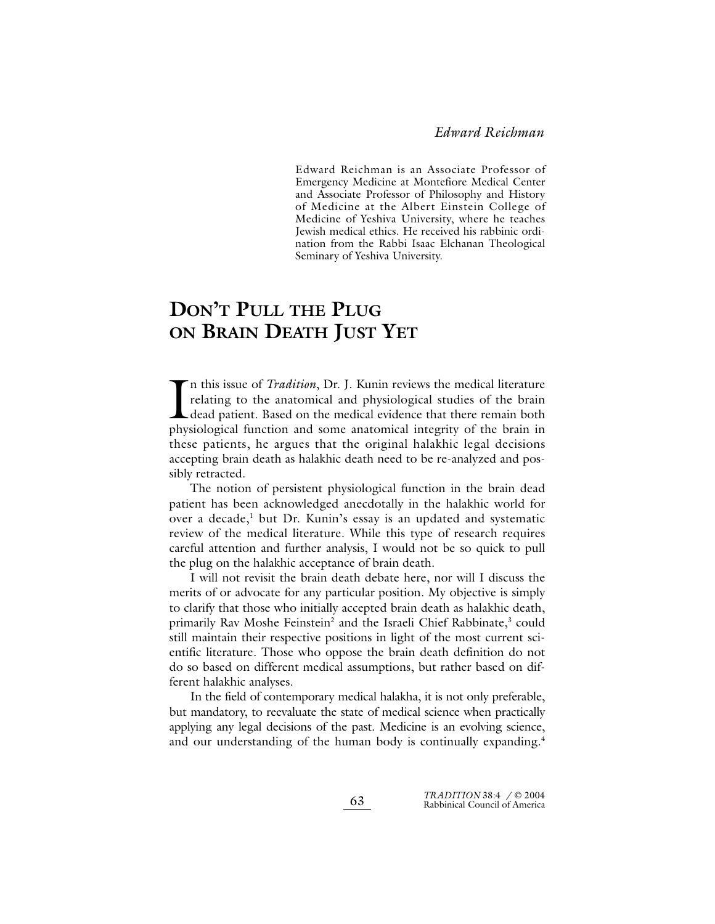Edward Reichman is an Associate Professor of Emergency Medicine at Montefiore Medical Center and Associate Professor of Philosophy and History of Medicine at the Albert Einstein College of Medicine of Yeshiva University, where he teaches Jewish medical ethics. He received his rabbinic ordination from the Rabbi Isaac Elchanan Theological Seminary of Yeshiva University.

# **DON'T PULL THE PLUG ON BRAIN DEATH JUST YET**

In this issue of *Tradition*, Dr. J. Kunin reviews the medical literature relating to the anatomical and physiological studies of the brain dead patient. Based on the medical evidence that there remain both physiological f n this issue of *Tradition*, Dr. J. Kunin reviews the medical literature relating to the anatomical and physiological studies of the brain dead patient. Based on the medical evidence that there remain both these patients, he argues that the original halakhic legal decisions accepting brain death as halakhic death need to be re-analyzed and possibly retracted.

The notion of persistent physiological function in the brain dead patient has been acknowledged anecdotally in the halakhic world for over a decade,<sup>1</sup> but Dr. Kunin's essay is an updated and systematic review of the medical literature. While this type of research requires careful attention and further analysis, I would not be so quick to pull the plug on the halakhic acceptance of brain death.

I will not revisit the brain death debate here, nor will I discuss the merits of or advocate for any particular position. My objective is simply to clarify that those who initially accepted brain death as halakhic death, primarily Rav Moshe Feinstein<sup>2</sup> and the Israeli Chief Rabbinate,<sup>3</sup> could still maintain their respective positions in light of the most current scientific literature. Those who oppose the brain death definition do not do so based on different medical assumptions, but rather based on different halakhic analyses.

In the field of contemporary medical halakha, it is not only preferable, but mandatory, to reevaluate the state of medical science when practically applying any legal decisions of the past. Medicine is an evolving science, and our understanding of the human body is continually expanding.<sup>4</sup>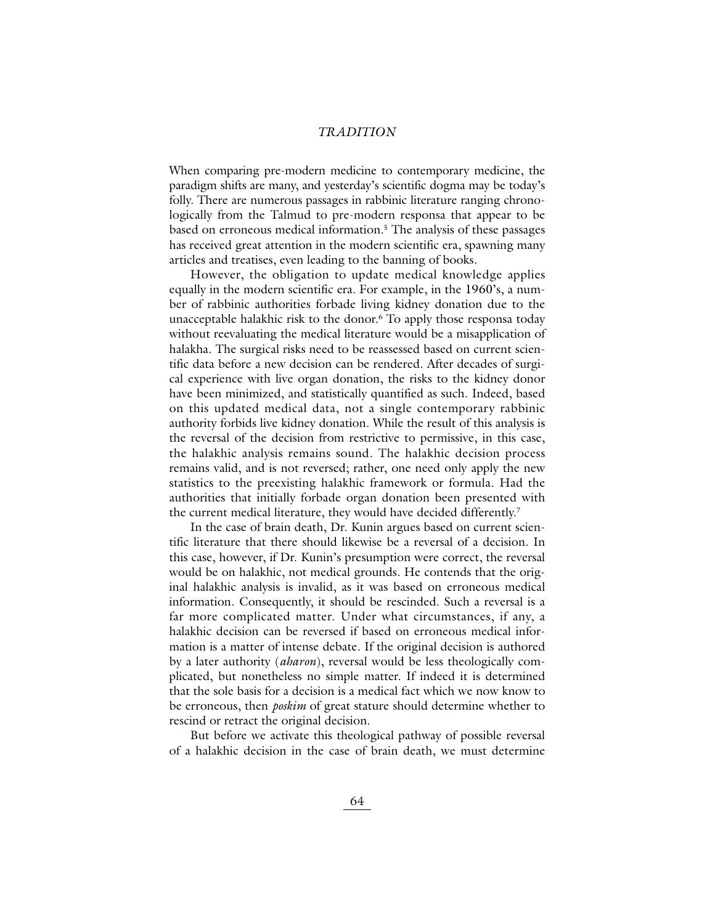#### *TRADITION*

When comparing pre-modern medicine to contemporary medicine, the paradigm shifts are many, and yesterday's scientific dogma may be today's folly. There are numerous passages in rabbinic literature ranging chronologically from the Talmud to pre-modern responsa that appear to be based on erroneous medical information.5 The analysis of these passages has received great attention in the modern scientific era, spawning many articles and treatises, even leading to the banning of books.

However, the obligation to update medical knowledge applies equally in the modern scientific era. For example, in the 1960's, a number of rabbinic authorities forbade living kidney donation due to the unacceptable halakhic risk to the donor.6 To apply those responsa today without reevaluating the medical literature would be a misapplication of halakha. The surgical risks need to be reassessed based on current scientific data before a new decision can be rendered. After decades of surgical experience with live organ donation, the risks to the kidney donor have been minimized, and statistically quantified as such. Indeed, based on this updated medical data, not a single contemporary rabbinic authority forbids live kidney donation. While the result of this analysis is the reversal of the decision from restrictive to permissive, in this case, the halakhic analysis remains sound. The halakhic decision process remains valid, and is not reversed; rather, one need only apply the new statistics to the preexisting halakhic framework or formula. Had the authorities that initially forbade organ donation been presented with the current medical literature, they would have decided differently.<sup>7</sup>

In the case of brain death, Dr. Kunin argues based on current scientific literature that there should likewise be a reversal of a decision. In this case, however, if Dr. Kunin's presumption were correct, the reversal would be on halakhic, not medical grounds. He contends that the original halakhic analysis is invalid, as it was based on erroneous medical information. Consequently, it should be rescinded. Such a reversal is a far more complicated matter. Under what circumstances, if any, a halakhic decision can be reversed if based on erroneous medical information is a matter of intense debate. If the original decision is authored by a later authority (*aharon*), reversal would be less theologically complicated, but nonetheless no simple matter. If indeed it is determined that the sole basis for a decision is a medical fact which we now know to be erroneous, then *poskim* of great stature should determine whether to rescind or retract the original decision.

But before we activate this theological pathway of possible reversal of a halakhic decision in the case of brain death, we must determine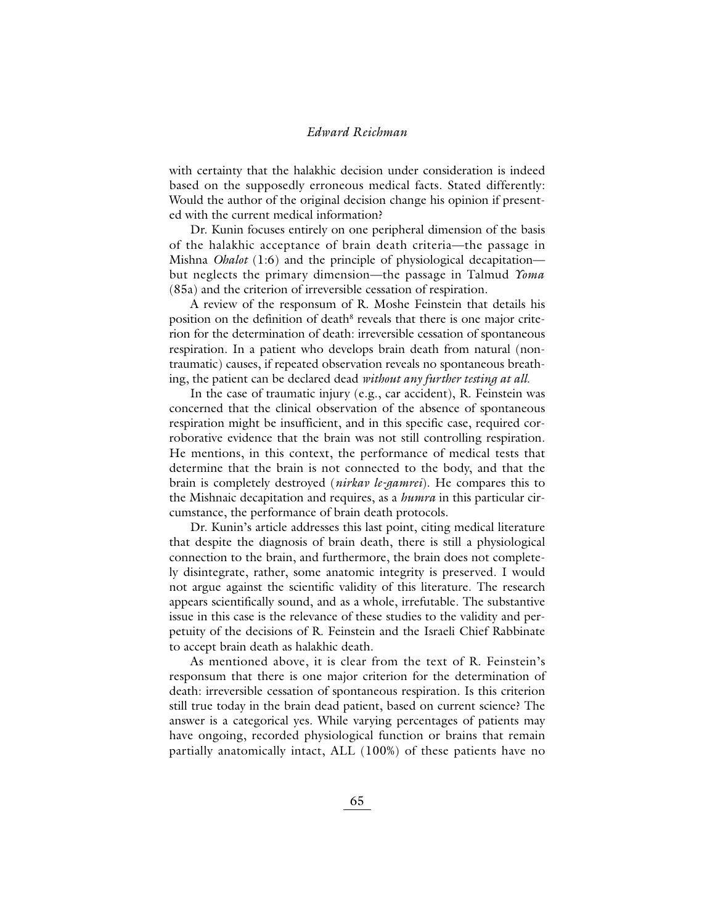with certainty that the halakhic decision under consideration is indeed based on the supposedly erroneous medical facts. Stated differently: Would the author of the original decision change his opinion if presented with the current medical information?

Dr. Kunin focuses entirely on one peripheral dimension of the basis of the halakhic acceptance of brain death criteria—the passage in Mishna *Ohalot* (1:6) and the principle of physiological decapitation but neglects the primary dimension—the passage in Talmud *Yoma* (85a) and the criterion of irreversible cessation of respiration.

A review of the responsum of R. Moshe Feinstein that details his position on the definition of death<sup>8</sup> reveals that there is one major criterion for the determination of death: irreversible cessation of spontaneous respiration. In a patient who develops brain death from natural (nontraumatic) causes, if repeated observation reveals no spontaneous breathing, the patient can be declared dead *without any further testing at all*.

In the case of traumatic injury (e.g., car accident), R. Feinstein was concerned that the clinical observation of the absence of spontaneous respiration might be insufficient, and in this specific case, required corroborative evidence that the brain was not still controlling respiration. He mentions, in this context, the performance of medical tests that determine that the brain is not connected to the body, and that the brain is completely destroyed (*nirkav le-gamrei*). He compares this to the Mishnaic decapitation and requires, as a *humra* in this particular circumstance, the performance of brain death protocols.

Dr. Kunin's article addresses this last point, citing medical literature that despite the diagnosis of brain death, there is still a physiological connection to the brain, and furthermore, the brain does not completely disintegrate, rather, some anatomic integrity is preserved. I would not argue against the scientific validity of this literature. The research appears scientifically sound, and as a whole, irrefutable. The substantive issue in this case is the relevance of these studies to the validity and perpetuity of the decisions of R. Feinstein and the Israeli Chief Rabbinate to accept brain death as halakhic death.

As mentioned above, it is clear from the text of R. Feinstein's responsum that there is one major criterion for the determination of death: irreversible cessation of spontaneous respiration. Is this criterion still true today in the brain dead patient, based on current science? The answer is a categorical yes. While varying percentages of patients may have ongoing, recorded physiological function or brains that remain partially anatomically intact, ALL (100%) of these patients have no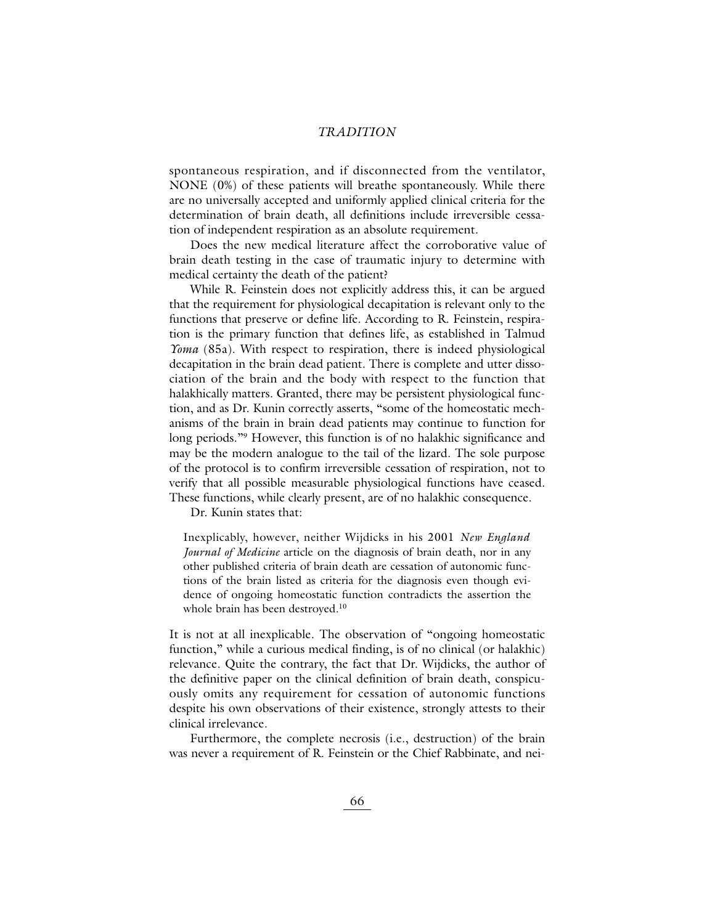#### *TRADITION*

spontaneous respiration, and if disconnected from the ventilator, NONE (0%) of these patients will breathe spontaneously. While there are no universally accepted and uniformly applied clinical criteria for the determination of brain death, all definitions include irreversible cessation of independent respiration as an absolute requirement.

Does the new medical literature affect the corroborative value of brain death testing in the case of traumatic injury to determine with medical certainty the death of the patient?

While R. Feinstein does not explicitly address this, it can be argued that the requirement for physiological decapitation is relevant only to the functions that preserve or define life. According to R. Feinstein, respiration is the primary function that defines life, as established in Talmud *Yoma* (85a). With respect to respiration, there is indeed physiological decapitation in the brain dead patient. There is complete and utter dissociation of the brain and the body with respect to the function that halakhically matters. Granted, there may be persistent physiological function, and as Dr. Kunin correctly asserts, "some of the homeostatic mechanisms of the brain in brain dead patients may continue to function for long periods."<sup>9</sup> However, this function is of no halakhic significance and may be the modern analogue to the tail of the lizard. The sole purpose of the protocol is to confirm irreversible cessation of respiration, not to verify that all possible measurable physiological functions have ceased. These functions, while clearly present, are of no halakhic consequence.

Dr. Kunin states that:

Inexplicably, however, neither Wijdicks in his 2001 *New England Journal of Medicine* article on the diagnosis of brain death, nor in any other published criteria of brain death are cessation of autonomic functions of the brain listed as criteria for the diagnosis even though evidence of ongoing homeostatic function contradicts the assertion the whole brain has been destroyed.<sup>10</sup>

It is not at all inexplicable. The observation of "ongoing homeostatic function," while a curious medical finding, is of no clinical (or halakhic) relevance. Quite the contrary, the fact that Dr. Wijdicks, the author of the definitive paper on the clinical definition of brain death, conspicuously omits any requirement for cessation of autonomic functions despite his own observations of their existence, strongly attests to their clinical irrelevance.

Furthermore, the complete necrosis (i.e., destruction) of the brain was never a requirement of R. Feinstein or the Chief Rabbinate, and nei-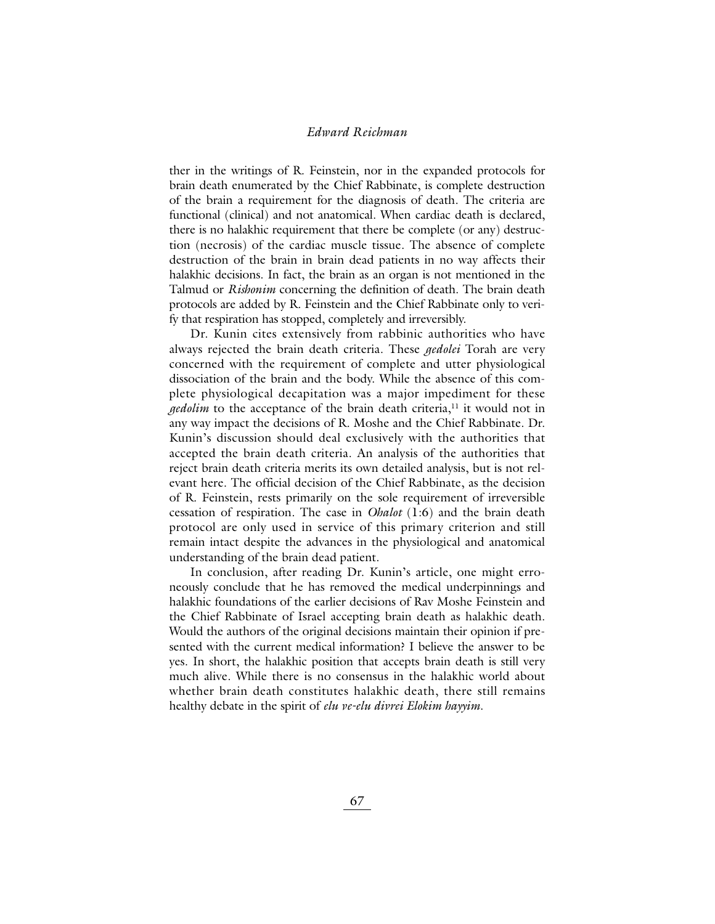ther in the writings of R. Feinstein, nor in the expanded protocols for brain death enumerated by the Chief Rabbinate, is complete destruction of the brain a requirement for the diagnosis of death. The criteria are functional (clinical) and not anatomical. When cardiac death is declared, there is no halakhic requirement that there be complete (or any) destruction (necrosis) of the cardiac muscle tissue. The absence of complete destruction of the brain in brain dead patients in no way affects their halakhic decisions. In fact, the brain as an organ is not mentioned in the Talmud or *Rishonim* concerning the definition of death. The brain death protocols are added by R. Feinstein and the Chief Rabbinate only to verify that respiration has stopped, completely and irreversibly.

Dr. Kunin cites extensively from rabbinic authorities who have always rejected the brain death criteria. These *gedolei* Torah are very concerned with the requirement of complete and utter physiological dissociation of the brain and the body. While the absence of this complete physiological decapitation was a major impediment for these *gedolim* to the acceptance of the brain death criteria,<sup>11</sup> it would not in any way impact the decisions of R. Moshe and the Chief Rabbinate. Dr. Kunin's discussion should deal exclusively with the authorities that accepted the brain death criteria. An analysis of the authorities that reject brain death criteria merits its own detailed analysis, but is not relevant here. The official decision of the Chief Rabbinate, as the decision of R. Feinstein, rests primarily on the sole requirement of irreversible cessation of respiration. The case in *Ohalot* (1:6) and the brain death protocol are only used in service of this primary criterion and still remain intact despite the advances in the physiological and anatomical understanding of the brain dead patient.

In conclusion, after reading Dr. Kunin's article, one might erroneously conclude that he has removed the medical underpinnings and halakhic foundations of the earlier decisions of Rav Moshe Feinstein and the Chief Rabbinate of Israel accepting brain death as halakhic death. Would the authors of the original decisions maintain their opinion if presented with the current medical information? I believe the answer to be yes. In short, the halakhic position that accepts brain death is still very much alive. While there is no consensus in the halakhic world about whether brain death constitutes halakhic death, there still remains healthy debate in the spirit of *elu ve-elu divrei Elokim hayyim*.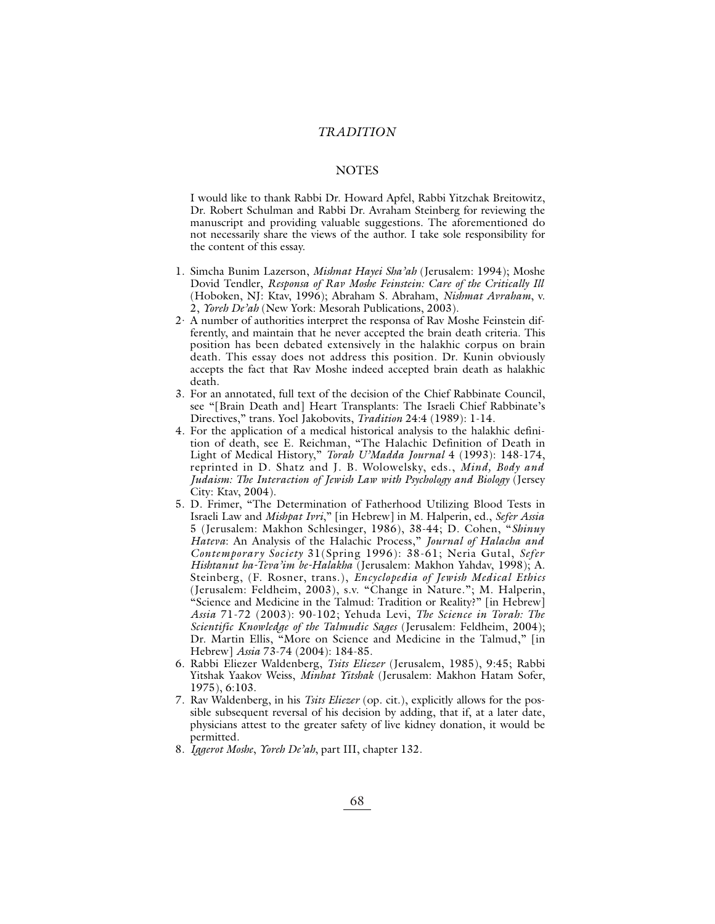#### *TRADITION*

#### **NOTES**

I would like to thank Rabbi Dr. Howard Apfel, Rabbi Yitzchak Breitowitz, Dr. Robert Schulman and Rabbi Dr. Avraham Steinberg for reviewing the manuscript and providing valuable suggestions. The aforementioned do not necessarily share the views of the author. I take sole responsibility for the content of this essay.

- 1. Simcha Bunim Lazerson, *Mishnat Hayei Sha'ah* (Jerusalem: 1994); Moshe Dovid Tendler, *Responsa of Rav Moshe Feinstein: Care of the Critically Ill* (Hoboken, NJ: Ktav, 1996); Abraham S. Abraham, *Nishmat Avraham*, v. 2, *Yoreh De'ah* (New York: Mesorah Publications, 2003).
- 2. A number of authorities interpret the responsa of Rav Moshe Feinstein differently, and maintain that he never accepted the brain death criteria. This position has been debated extensively in the halakhic corpus on brain death. This essay does not address this position. Dr. Kunin obviously accepts the fact that Rav Moshe indeed accepted brain death as halakhic death.
- 3. For an annotated, full text of the decision of the Chief Rabbinate Council, see "[Brain Death and] Heart Transplants: The Israeli Chief Rabbinate's Directives," trans. Yoel Jakobovits, *Tradition* 24:4 (1989): 1-14.
- 4. For the application of a medical historical analysis to the halakhic definition of death, see E. Reichman, "The Halachic Definition of Death in Light of Medical History," *Torah U'Madda Journal* 4 (1993): 148-174, reprinted in D. Shatz and J. B. Wolowelsky, eds., *Mind, Body and Judaism: The Interaction of Jewish Law with Psychology and Biology* (Jersey City: Ktav, 2004).
- 5. D. Frimer, "The Determination of Fatherhood Utilizing Blood Tests in Israeli Law and *Mishpat Ivri*," [in Hebrew] in M. Halperin, ed., *Sefer Assia* 5 (Jerusalem: Makhon Schlesinger, 1986), 38-44; D. Cohen, "*Shinuy Hateva*: An Analysis of the Halachic Process," *Journal of Halacha and Contemporary Society* 31(Spring 1996): 38-61; Neria Gutal, *Sefer Hishtanut ha-Teva'im be-Halakha* (Jerusalem: Makhon Yahdav, 1998); A. Steinberg, (F. Rosner, trans.), *Encyclopedia of Jewish Medical Ethics* (Jerusalem: Feldheim, 2003), s.v. "Change in Nature."; M. Halperin, "Science and Medicine in the Talmud: Tradition or Reality?" [in Hebrew] *Assia* 71-72 (2003): 90-102; Yehuda Levi, *The Science in Torah: The Scientific Knowledge of the Talmudic Sages* (Jerusalem: Feldheim, 2004); Dr. Martin Ellis, "More on Science and Medicine in the Talmud," [in Hebrew] *Assia* 73-74 (2004): 184-85.
- 6. Rabbi Eliezer Waldenberg, *Tsits Eliezer* (Jerusalem, 1985), 9:45; Rabbi Yitshak Yaakov Weiss, *Minhat Yitshak* (Jerusalem: Makhon Hatam Sofer, 1975), 6:103.
- 7. Rav Waldenberg, in his *Tsits Eliezer* (op. cit.), explicitly allows for the possible subsequent reversal of his decision by adding, that if, at a later date, physicians attest to the greater safety of live kidney donation, it would be permitted.
- 8. *Iggerot Moshe*, *Yoreh De'ah*, part III, chapter 132.